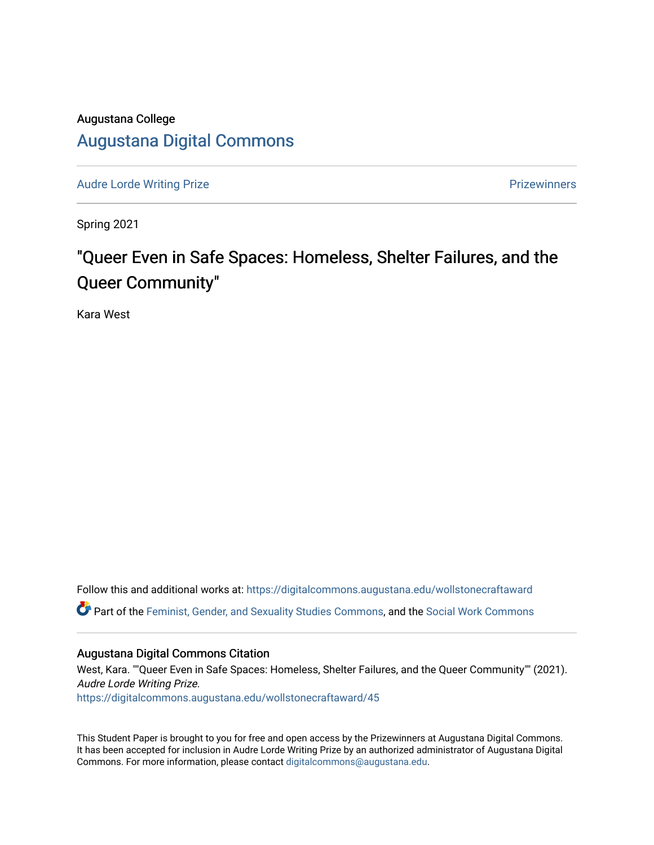# Augustana College

# [Augustana Digital Commons](https://digitalcommons.augustana.edu/)

[Audre Lorde Writing Prize](https://digitalcommons.augustana.edu/wollstonecraftaward) **Prize Audre Lorde Writing Prize** Prize Prize Prize Prize Prize Prize Prize Prize Prize

Spring 2021

# "Queer Even in Safe Spaces: Homeless, Shelter Failures, and the Queer Community"

Kara West

Follow this and additional works at: [https://digitalcommons.augustana.edu/wollstonecraftaward](https://digitalcommons.augustana.edu/wollstonecraftaward?utm_source=digitalcommons.augustana.edu%2Fwollstonecraftaward%2F45&utm_medium=PDF&utm_campaign=PDFCoverPages)  Part of the [Feminist, Gender, and Sexuality Studies Commons](http://network.bepress.com/hgg/discipline/559?utm_source=digitalcommons.augustana.edu%2Fwollstonecraftaward%2F45&utm_medium=PDF&utm_campaign=PDFCoverPages), and the [Social Work Commons](http://network.bepress.com/hgg/discipline/713?utm_source=digitalcommons.augustana.edu%2Fwollstonecraftaward%2F45&utm_medium=PDF&utm_campaign=PDFCoverPages)

# Augustana Digital Commons Citation

West, Kara. ""Queer Even in Safe Spaces: Homeless, Shelter Failures, and the Queer Community"" (2021). Audre Lorde Writing Prize. [https://digitalcommons.augustana.edu/wollstonecraftaward/45](https://digitalcommons.augustana.edu/wollstonecraftaward/45?utm_source=digitalcommons.augustana.edu%2Fwollstonecraftaward%2F45&utm_medium=PDF&utm_campaign=PDFCoverPages)

This Student Paper is brought to you for free and open access by the Prizewinners at Augustana Digital Commons. It has been accepted for inclusion in Audre Lorde Writing Prize by an authorized administrator of Augustana Digital Commons. For more information, please contact [digitalcommons@augustana.edu](mailto:digitalcommons@augustana.edu).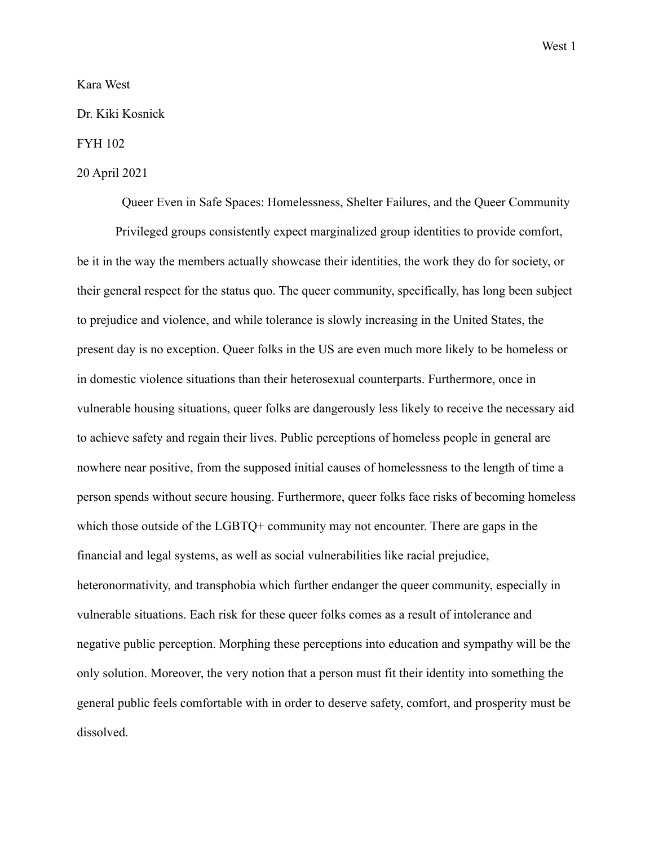# Kara West

# Dr. Kiki Kosnick

# FYH 102

# 20 April 2021

Queer Even in Safe Spaces: Homelessness, Shelter Failures, and the Queer Community

Privileged groups consistently expect marginalized group identities to provide comfort, be it in the way the members actually showcase their identities, the work they do for society, or their general respect for the status quo. The queer community, specifically, has long been subject to prejudice and violence, and while tolerance is slowly increasing in the United States, the present day is no exception. Queer folks in the US are even much more likely to be homeless or in domestic violence situations than their heterosexual counterparts. Furthermore, once in vulnerable housing situations, queer folks are dangerously less likely to receive the necessary aid to achieve safety and regain their lives. Public perceptions of homeless people in general are nowhere near positive, from the supposed initial causes of homelessness to the length of time a person spends without secure housing. Furthermore, queer folks face risks of becoming homeless which those outside of the LGBTQ+ community may not encounter. There are gaps in the financial and legal systems, as well as social vulnerabilities like racial prejudice, heteronormativity, and transphobia which further endanger the queer community, especially in vulnerable situations. Each risk for these queer folks comes as a result of intolerance and negative public perception. Morphing these perceptions into education and sympathy will be the only solution. Moreover, the very notion that a person must fit their identity into something the general public feels comfortable with in order to deserve safety, comfort, and prosperity must be dissolved.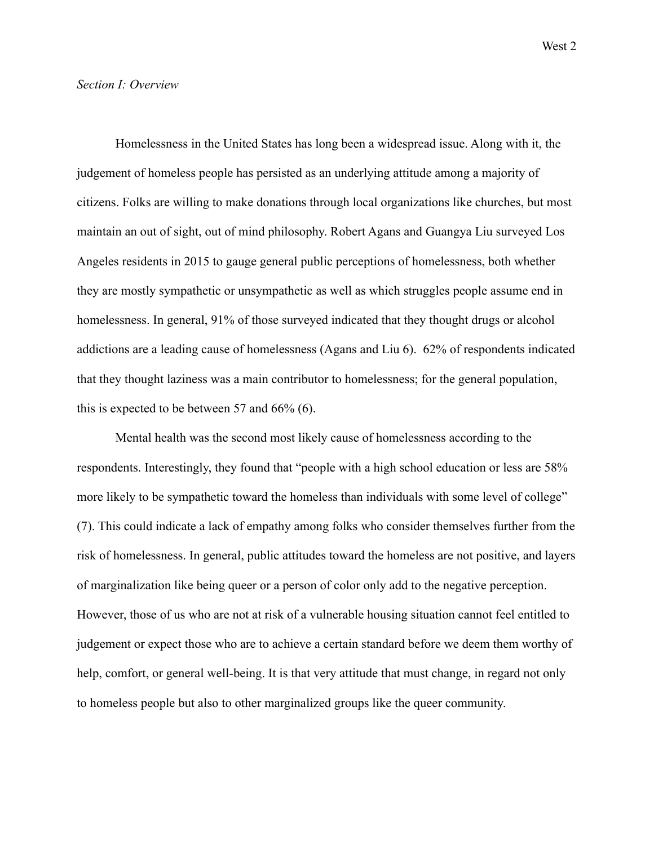# *Section I: Overview*

Homelessness in the United States has long been a widespread issue. Along with it, the judgement of homeless people has persisted as an underlying attitude among a majority of citizens. Folks are willing to make donations through local organizations like churches, but most maintain an out of sight, out of mind philosophy. Robert Agans and Guangya Liu surveyed Los Angeles residents in 2015 to gauge general public perceptions of homelessness, both whether they are mostly sympathetic or unsympathetic as well as which struggles people assume end in homelessness. In general, 91% of those surveyed indicated that they thought drugs or alcohol addictions are a leading cause of homelessness (Agans and Liu 6). 62% of respondents indicated that they thought laziness was a main contributor to homelessness; for the general population, this is expected to be between 57 and 66% (6).

Mental health was the second most likely cause of homelessness according to the respondents. Interestingly, they found that "people with a high school education or less are 58% more likely to be sympathetic toward the homeless than individuals with some level of college" (7). This could indicate a lack of empathy among folks who consider themselves further from the risk of homelessness. In general, public attitudes toward the homeless are not positive, and layers of marginalization like being queer or a person of color only add to the negative perception. However, those of us who are not at risk of a vulnerable housing situation cannot feel entitled to judgement or expect those who are to achieve a certain standard before we deem them worthy of help, comfort, or general well-being. It is that very attitude that must change, in regard not only to homeless people but also to other marginalized groups like the queer community.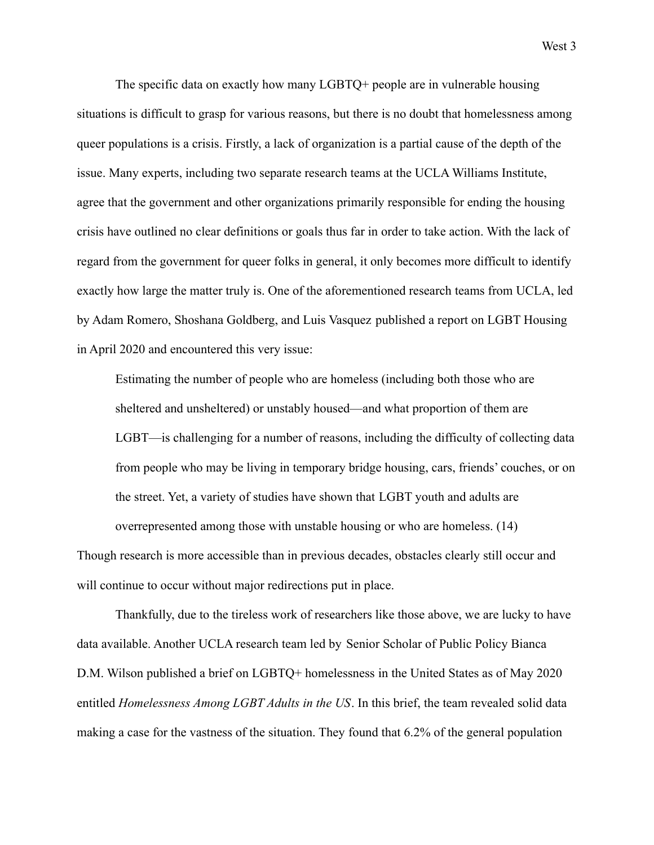The specific data on exactly how many LGBTQ+ people are in vulnerable housing situations is difficult to grasp for various reasons, but there is no doubt that homelessness among queer populations is a crisis. Firstly, a lack of organization is a partial cause of the depth of the issue. Many experts, including two separate research teams at the UCLA Williams Institute, agree that the government and other organizations primarily responsible for ending the housing crisis have outlined no clear definitions or goals thus far in order to take action. With the lack of regard from the government for queer folks in general, it only becomes more difficult to identify exactly how large the matter truly is. One of the aforementioned research teams from UCLA, led by Adam Romero, Shoshana Goldberg, and Luis Vasquez published a report on LGBT Housing in April 2020 and encountered this very issue:

Estimating the number of people who are homeless (including both those who are sheltered and unsheltered) or unstably housed—and what proportion of them are LGBT—is challenging for a number of reasons, including the difficulty of collecting data from people who may be living in temporary bridge housing, cars, friends' couches, or on the street. Yet, a variety of studies have shown that LGBT youth and adults are overrepresented among those with unstable housing or who are homeless. (14)

Though research is more accessible than in previous decades, obstacles clearly still occur and will continue to occur without major redirections put in place.

Thankfully, due to the tireless work of researchers like those above, we are lucky to have data available. Another UCLA research team led by Senior Scholar of Public Policy Bianca D.M. Wilson published a brief on LGBTQ+ homelessness in the United States as of May 2020 entitled *Homelessness Among LGBT Adults in the US*. In this brief, the team revealed solid data making a case for the vastness of the situation. They found that 6.2% of the general population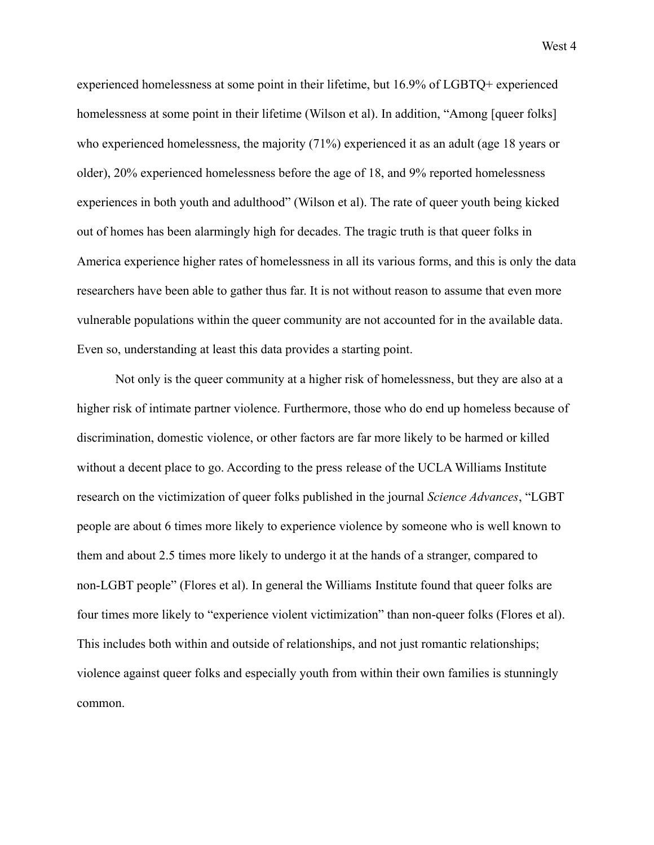experienced homelessness at some point in their lifetime, but 16.9% of LGBTQ+ experienced homelessness at some point in their lifetime (Wilson et al). In addition, "Among [queer folks] who experienced homelessness, the majority (71%) experienced it as an adult (age 18 years or older), 20% experienced homelessness before the age of 18, and 9% reported homelessness experiences in both youth and adulthood" (Wilson et al). The rate of queer youth being kicked out of homes has been alarmingly high for decades. The tragic truth is that queer folks in America experience higher rates of homelessness in all its various forms, and this is only the data researchers have been able to gather thus far. It is not without reason to assume that even more vulnerable populations within the queer community are not accounted for in the available data. Even so, understanding at least this data provides a starting point.

Not only is the queer community at a higher risk of homelessness, but they are also at a higher risk of intimate partner violence. Furthermore, those who do end up homeless because of discrimination, domestic violence, or other factors are far more likely to be harmed or killed without a decent place to go. According to the press release of the UCLA Williams Institute research on the victimization of queer folks published in the journal *Science Advances*, "LGBT people are about 6 times more likely to experience violence by someone who is well known to them and about 2.5 times more likely to undergo it at the hands of a stranger, compared to non-LGBT people" (Flores et al). In general the Williams Institute found that queer folks are four times more likely to "experience violent victimization" than non-queer folks (Flores et al). This includes both within and outside of relationships, and not just romantic relationships; violence against queer folks and especially youth from within their own families is stunningly common.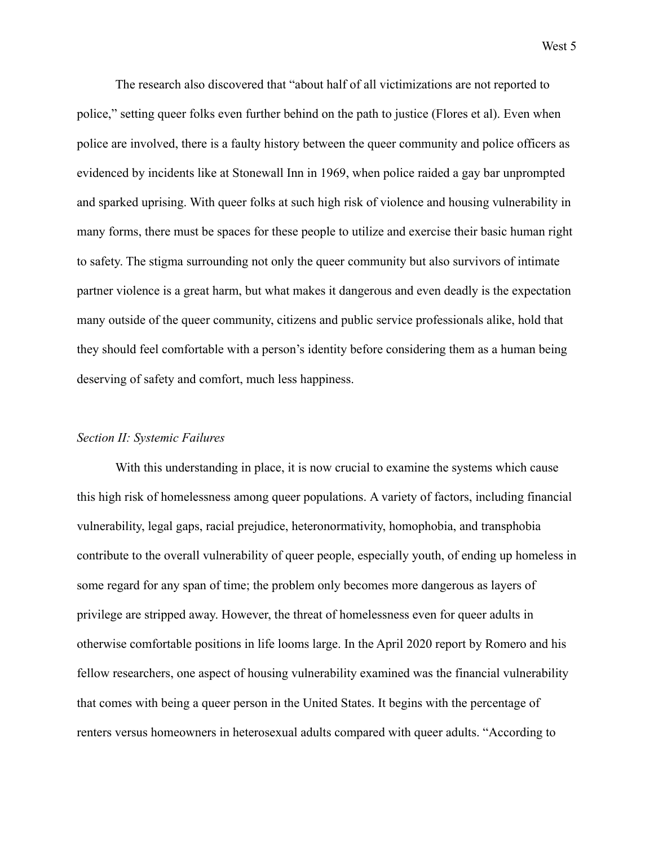The research also discovered that "about half of all victimizations are not reported to police," setting queer folks even further behind on the path to justice (Flores et al). Even when police are involved, there is a faulty history between the queer community and police officers as evidenced by incidents like at Stonewall Inn in 1969, when police raided a gay bar unprompted and sparked uprising. With queer folks at such high risk of violence and housing vulnerability in many forms, there must be spaces for these people to utilize and exercise their basic human right to safety. The stigma surrounding not only the queer community but also survivors of intimate partner violence is a great harm, but what makes it dangerous and even deadly is the expectation many outside of the queer community, citizens and public service professionals alike, hold that they should feel comfortable with a person's identity before considering them as a human being deserving of safety and comfort, much less happiness.

## *Section II: Systemic Failures*

With this understanding in place, it is now crucial to examine the systems which cause this high risk of homelessness among queer populations. A variety of factors, including financial vulnerability, legal gaps, racial prejudice, heteronormativity, homophobia, and transphobia contribute to the overall vulnerability of queer people, especially youth, of ending up homeless in some regard for any span of time; the problem only becomes more dangerous as layers of privilege are stripped away. However, the threat of homelessness even for queer adults in otherwise comfortable positions in life looms large. In the April 2020 report by Romero and his fellow researchers, one aspect of housing vulnerability examined was the financial vulnerability that comes with being a queer person in the United States. It begins with the percentage of renters versus homeowners in heterosexual adults compared with queer adults. "According to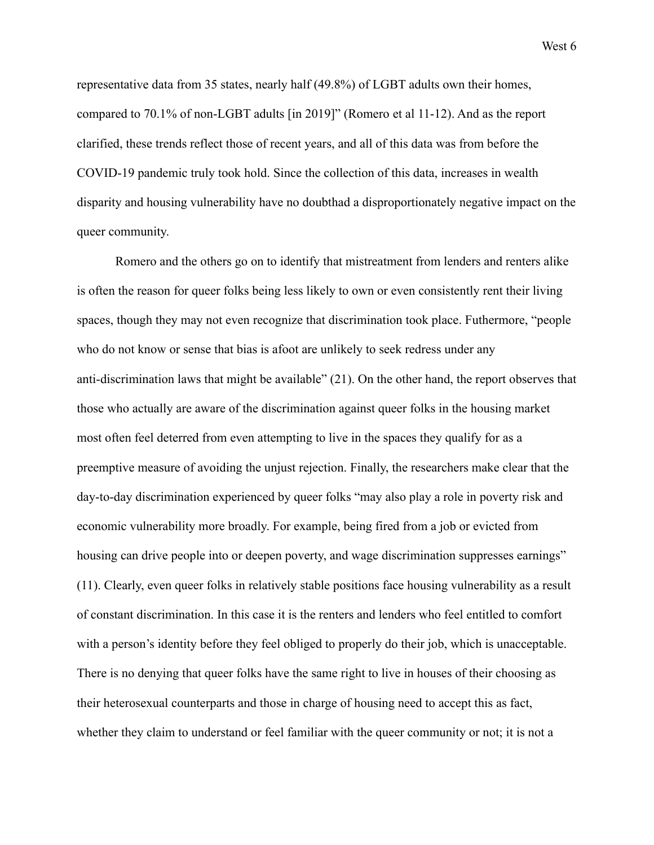representative data from 35 states, nearly half (49.8%) of LGBT adults own their homes, compared to 70.1% of non-LGBT adults [in 2019]" (Romero et al 11-12). And as the report clarified, these trends reflect those of recent years, and all of this data was from before the COVID-19 pandemic truly took hold. Since the collection of this data, increases in wealth disparity and housing vulnerability have no doubthad a disproportionately negative impact on the queer community.

Romero and the others go on to identify that mistreatment from lenders and renters alike is often the reason for queer folks being less likely to own or even consistently rent their living spaces, though they may not even recognize that discrimination took place. Futhermore, "people who do not know or sense that bias is afoot are unlikely to seek redress under any anti-discrimination laws that might be available" (21). On the other hand, the report observes that those who actually are aware of the discrimination against queer folks in the housing market most often feel deterred from even attempting to live in the spaces they qualify for as a preemptive measure of avoiding the unjust rejection. Finally, the researchers make clear that the day-to-day discrimination experienced by queer folks "may also play a role in poverty risk and economic vulnerability more broadly. For example, being fired from a job or evicted from housing can drive people into or deepen poverty, and wage discrimination suppresses earnings" (11). Clearly, even queer folks in relatively stable positions face housing vulnerability as a result of constant discrimination. In this case it is the renters and lenders who feel entitled to comfort with a person's identity before they feel obliged to properly do their job, which is unacceptable. There is no denying that queer folks have the same right to live in houses of their choosing as their heterosexual counterparts and those in charge of housing need to accept this as fact, whether they claim to understand or feel familiar with the queer community or not; it is not a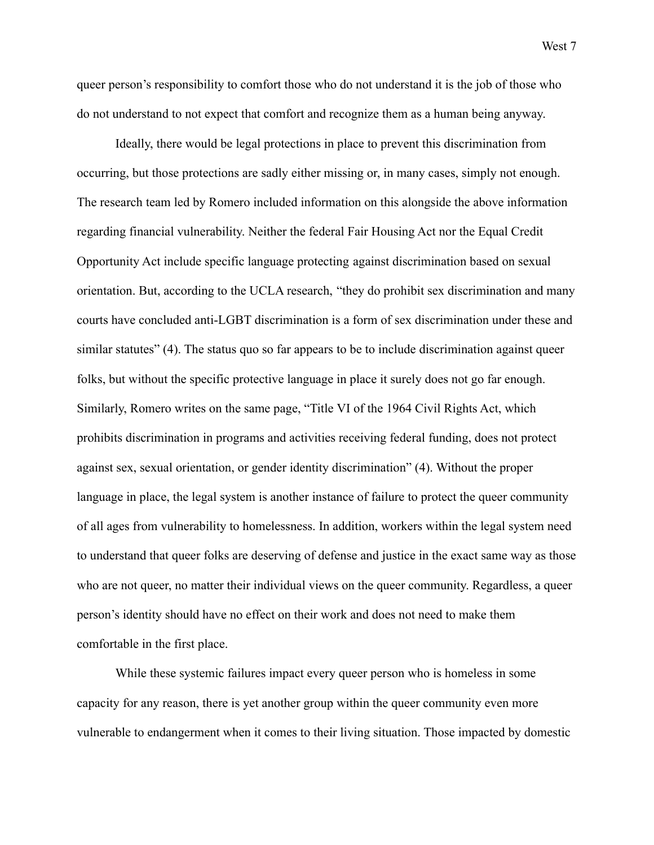queer person's responsibility to comfort those who do not understand it is the job of those who do not understand to not expect that comfort and recognize them as a human being anyway.

Ideally, there would be legal protections in place to prevent this discrimination from occurring, but those protections are sadly either missing or, in many cases, simply not enough. The research team led by Romero included information on this alongside the above information regarding financial vulnerability. Neither the federal Fair Housing Act nor the Equal Credit Opportunity Act include specific language protecting against discrimination based on sexual orientation. But, according to the UCLA research, "they do prohibit sex discrimination and many courts have concluded anti-LGBT discrimination is a form of sex discrimination under these and similar statutes" (4). The status quo so far appears to be to include discrimination against queer folks, but without the specific protective language in place it surely does not go far enough. Similarly, Romero writes on the same page, "Title VI of the 1964 Civil Rights Act, which prohibits discrimination in programs and activities receiving federal funding, does not protect against sex, sexual orientation, or gender identity discrimination" (4). Without the proper language in place, the legal system is another instance of failure to protect the queer community of all ages from vulnerability to homelessness. In addition, workers within the legal system need to understand that queer folks are deserving of defense and justice in the exact same way as those who are not queer, no matter their individual views on the queer community. Regardless, a queer person's identity should have no effect on their work and does not need to make them comfortable in the first place.

While these systemic failures impact every queer person who is homeless in some capacity for any reason, there is yet another group within the queer community even more vulnerable to endangerment when it comes to their living situation. Those impacted by domestic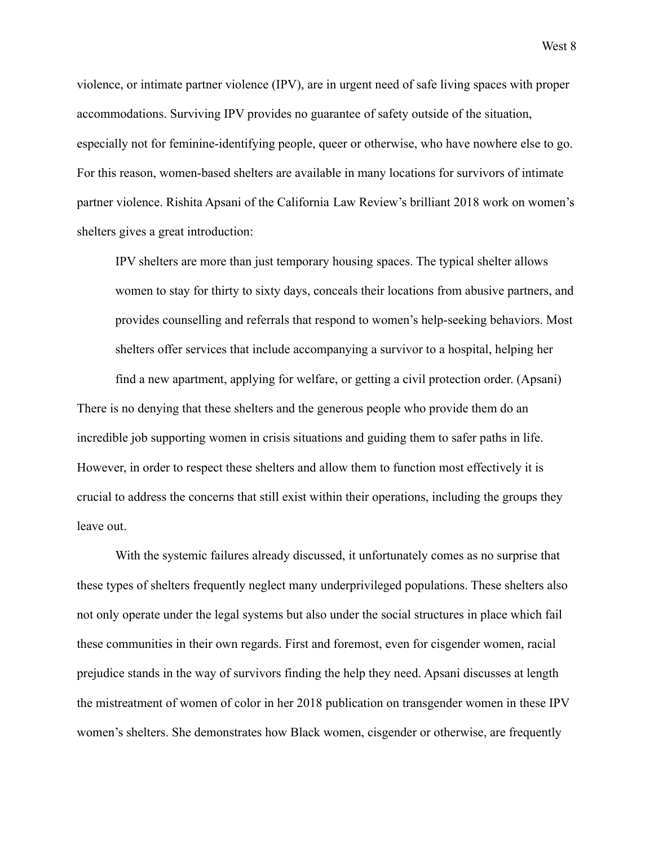violence, or intimate partner violence (IPV), are in urgent need of safe living spaces with proper accommodations. Surviving IPV provides no guarantee of safety outside of the situation, especially not for feminine-identifying people, queer or otherwise, who have nowhere else to go. For this reason, women-based shelters are available in many locations for survivors of intimate partner violence. Rishita Apsani of the California Law Review's brilliant 2018 work on women's shelters gives a great introduction:

IPV shelters are more than just temporary housing spaces. The typical shelter allows women to stay for thirty to sixty days, conceals their locations from abusive partners, and provides counselling and referrals that respond to women's help-seeking behaviors. Most shelters offer services that include accompanying a survivor to a hospital, helping her

find a new apartment, applying for welfare, or getting a civil protection order. (Apsani) There is no denying that these shelters and the generous people who provide them do an incredible job supporting women in crisis situations and guiding them to safer paths in life. However, in order to respect these shelters and allow them to function most effectively it is crucial to address the concerns that still exist within their operations, including the groups they leave out.

With the systemic failures already discussed, it unfortunately comes as no surprise that these types of shelters frequently neglect many underprivileged populations. These shelters also not only operate under the legal systems but also under the social structures in place which fail these communities in their own regards. First and foremost, even for cisgender women, racial prejudice stands in the way of survivors finding the help they need. Apsani discusses at length the mistreatment of women of color in her 2018 publication on transgender women in these IPV women's shelters. She demonstrates how Black women, cisgender or otherwise, are frequently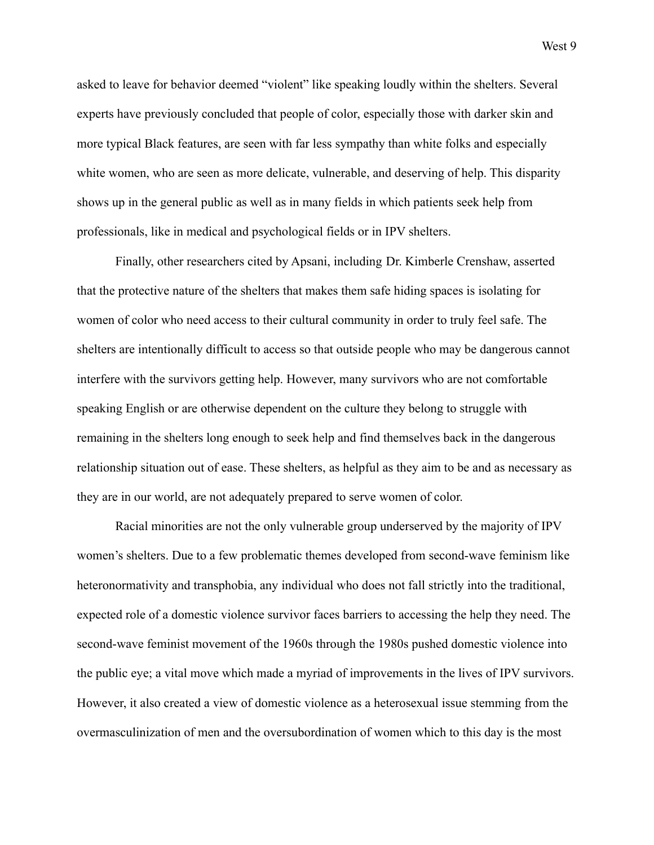asked to leave for behavior deemed "violent" like speaking loudly within the shelters. Several experts have previously concluded that people of color, especially those with darker skin and more typical Black features, are seen with far less sympathy than white folks and especially white women, who are seen as more delicate, vulnerable, and deserving of help. This disparity shows up in the general public as well as in many fields in which patients seek help from professionals, like in medical and psychological fields or in IPV shelters.

Finally, other researchers cited by Apsani, including Dr. Kimberle Crenshaw, asserted that the protective nature of the shelters that makes them safe hiding spaces is isolating for women of color who need access to their cultural community in order to truly feel safe. The shelters are intentionally difficult to access so that outside people who may be dangerous cannot interfere with the survivors getting help. However, many survivors who are not comfortable speaking English or are otherwise dependent on the culture they belong to struggle with remaining in the shelters long enough to seek help and find themselves back in the dangerous relationship situation out of ease. These shelters, as helpful as they aim to be and as necessary as they are in our world, are not adequately prepared to serve women of color.

Racial minorities are not the only vulnerable group underserved by the majority of IPV women's shelters. Due to a few problematic themes developed from second-wave feminism like heteronormativity and transphobia, any individual who does not fall strictly into the traditional, expected role of a domestic violence survivor faces barriers to accessing the help they need. The second-wave feminist movement of the 1960s through the 1980s pushed domestic violence into the public eye; a vital move which made a myriad of improvements in the lives of IPV survivors. However, it also created a view of domestic violence as a heterosexual issue stemming from the overmasculinization of men and the oversubordination of women which to this day is the most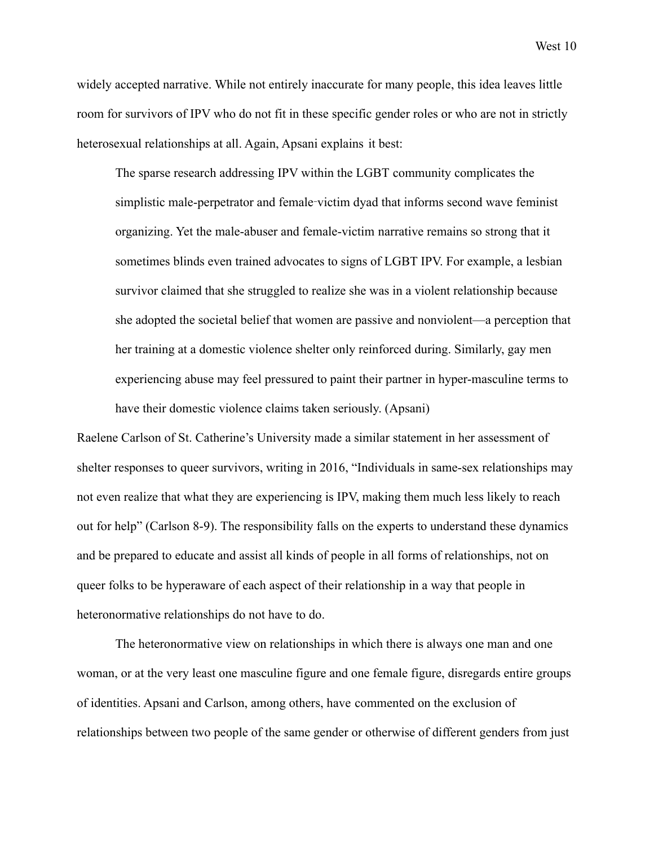widely accepted narrative. While not entirely inaccurate for many people, this idea leaves little room for survivors of IPV who do not fit in these specific gender roles or who are not in strictly heterosexual relationships at all. Again, Apsani explains it best:

The sparse research addressing IPV within the LGBT community complicates the simplistic male-perpetrator and female‑victim dyad that informs second wave feminist organizing. Yet the male-abuser and female-victim narrative remains so strong that it sometimes blinds even trained advocates to signs of LGBT IPV. For example, a lesbian survivor claimed that she struggled to realize she was in a violent relationship because she adopted the societal belief that women are passive and nonviolent—a perception that her training at a domestic violence shelter only reinforced during. Similarly, gay men experiencing abuse may feel pressured to paint their partner in hyper-masculine terms to have their domestic violence claims taken seriously. (Apsani)

Raelene Carlson of St. Catherine's University made a similar statement in her assessment of shelter responses to queer survivors, writing in 2016, "Individuals in same-sex relationships may not even realize that what they are experiencing is IPV, making them much less likely to reach out for help" (Carlson 8-9). The responsibility falls on the experts to understand these dynamics and be prepared to educate and assist all kinds of people in all forms of relationships, not on queer folks to be hyperaware of each aspect of their relationship in a way that people in heteronormative relationships do not have to do.

The heteronormative view on relationships in which there is always one man and one woman, or at the very least one masculine figure and one female figure, disregards entire groups of identities. Apsani and Carlson, among others, have commented on the exclusion of relationships between two people of the same gender or otherwise of different genders from just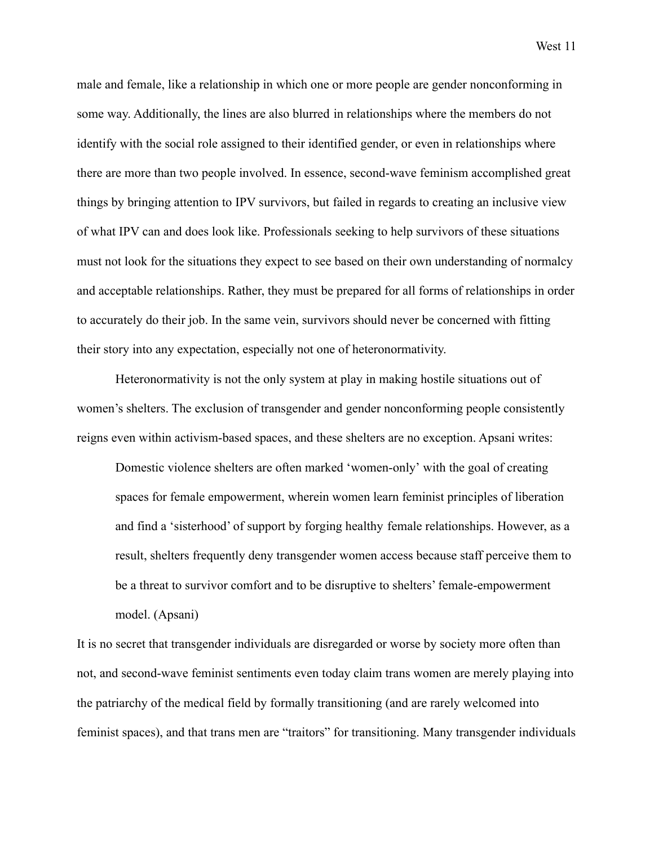male and female, like a relationship in which one or more people are gender nonconforming in some way. Additionally, the lines are also blurred in relationships where the members do not identify with the social role assigned to their identified gender, or even in relationships where there are more than two people involved. In essence, second-wave feminism accomplished great things by bringing attention to IPV survivors, but failed in regards to creating an inclusive view of what IPV can and does look like. Professionals seeking to help survivors of these situations must not look for the situations they expect to see based on their own understanding of normalcy and acceptable relationships. Rather, they must be prepared for all forms of relationships in order to accurately do their job. In the same vein, survivors should never be concerned with fitting their story into any expectation, especially not one of heteronormativity.

Heteronormativity is not the only system at play in making hostile situations out of women's shelters. The exclusion of transgender and gender nonconforming people consistently reigns even within activism-based spaces, and these shelters are no exception. Apsani writes:

Domestic violence shelters are often marked 'women-only' with the goal of creating spaces for female empowerment, wherein women learn feminist principles of liberation and find a 'sisterhood' of support by forging healthy female relationships. However, as a result, shelters frequently deny transgender women access because staff perceive them to be a threat to survivor comfort and to be disruptive to shelters' female-empowerment model. (Apsani)

It is no secret that transgender individuals are disregarded or worse by society more often than not, and second-wave feminist sentiments even today claim trans women are merely playing into the patriarchy of the medical field by formally transitioning (and are rarely welcomed into feminist spaces), and that trans men are "traitors" for transitioning. Many transgender individuals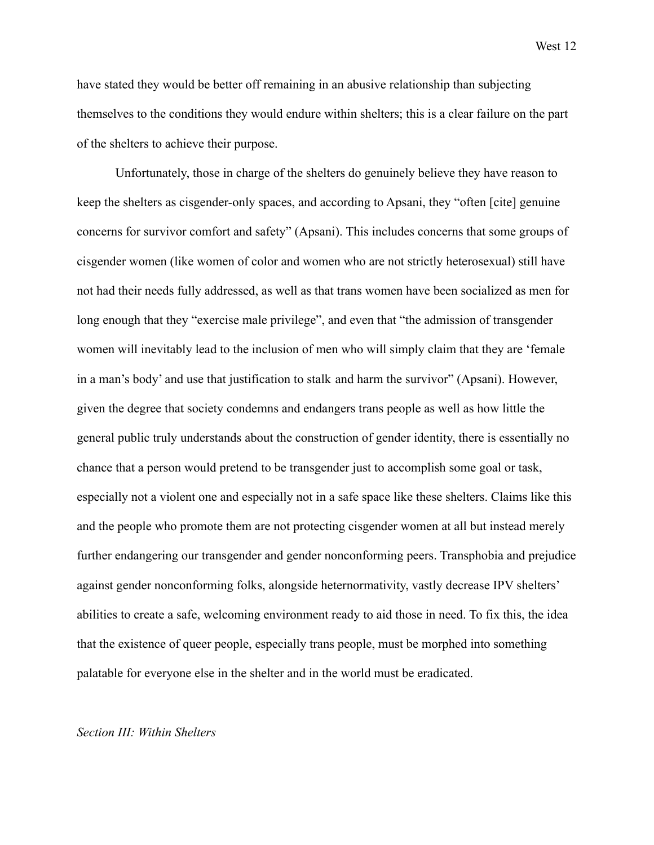have stated they would be better off remaining in an abusive relationship than subjecting themselves to the conditions they would endure within shelters; this is a clear failure on the part of the shelters to achieve their purpose.

Unfortunately, those in charge of the shelters do genuinely believe they have reason to keep the shelters as cisgender-only spaces, and according to Apsani, they "often [cite] genuine concerns for survivor comfort and safety" (Apsani). This includes concerns that some groups of cisgender women (like women of color and women who are not strictly heterosexual) still have not had their needs fully addressed, as well as that trans women have been socialized as men for long enough that they "exercise male privilege", and even that "the admission of transgender women will inevitably lead to the inclusion of men who will simply claim that they are 'female in a man's body' and use that justification to stalk and harm the survivor" (Apsani). However, given the degree that society condemns and endangers trans people as well as how little the general public truly understands about the construction of gender identity, there is essentially no chance that a person would pretend to be transgender just to accomplish some goal or task, especially not a violent one and especially not in a safe space like these shelters. Claims like this and the people who promote them are not protecting cisgender women at all but instead merely further endangering our transgender and gender nonconforming peers. Transphobia and prejudice against gender nonconforming folks, alongside heternormativity, vastly decrease IPV shelters' abilities to create a safe, welcoming environment ready to aid those in need. To fix this, the idea that the existence of queer people, especially trans people, must be morphed into something palatable for everyone else in the shelter and in the world must be eradicated.

#### *Section III: Within Shelters*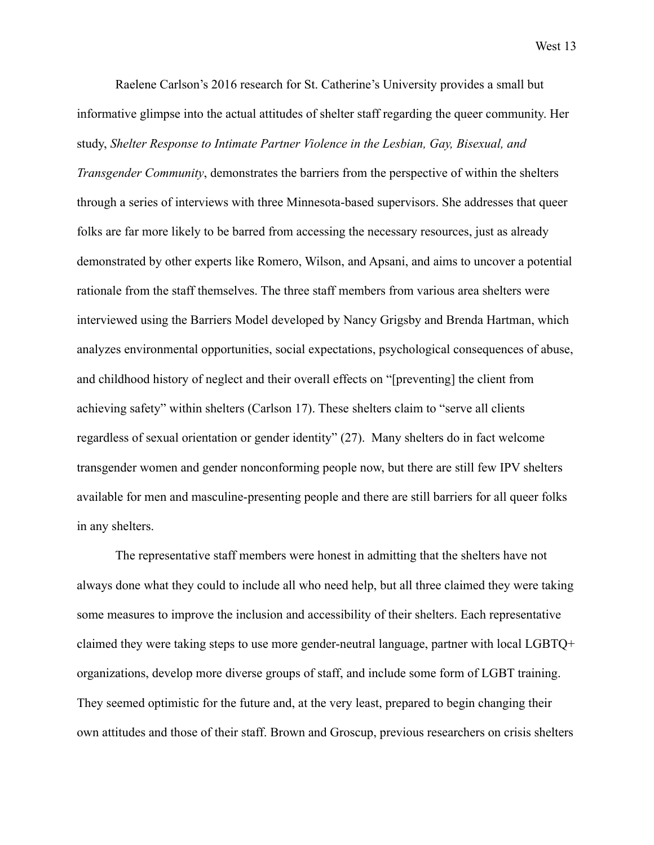Raelene Carlson's 2016 research for St. Catherine's University provides a small but informative glimpse into the actual attitudes of shelter staff regarding the queer community. Her study, *Shelter Response to Intimate Partner Violence in the Lesbian, Gay, Bisexual, and Transgender Community*, demonstrates the barriers from the perspective of within the shelters through a series of interviews with three Minnesota-based supervisors. She addresses that queer folks are far more likely to be barred from accessing the necessary resources, just as already demonstrated by other experts like Romero, Wilson, and Apsani, and aims to uncover a potential rationale from the staff themselves. The three staff members from various area shelters were interviewed using the Barriers Model developed by Nancy Grigsby and Brenda Hartman, which analyzes environmental opportunities, social expectations, psychological consequences of abuse, and childhood history of neglect and their overall effects on "[preventing] the client from achieving safety" within shelters (Carlson 17). These shelters claim to "serve all clients regardless of sexual orientation or gender identity" (27). Many shelters do in fact welcome transgender women and gender nonconforming people now, but there are still few IPV shelters available for men and masculine-presenting people and there are still barriers for all queer folks in any shelters.

The representative staff members were honest in admitting that the shelters have not always done what they could to include all who need help, but all three claimed they were taking some measures to improve the inclusion and accessibility of their shelters. Each representative claimed they were taking steps to use more gender-neutral language, partner with local LGBTQ+ organizations, develop more diverse groups of staff, and include some form of LGBT training. They seemed optimistic for the future and, at the very least, prepared to begin changing their own attitudes and those of their staff. Brown and Groscup, previous researchers on crisis shelters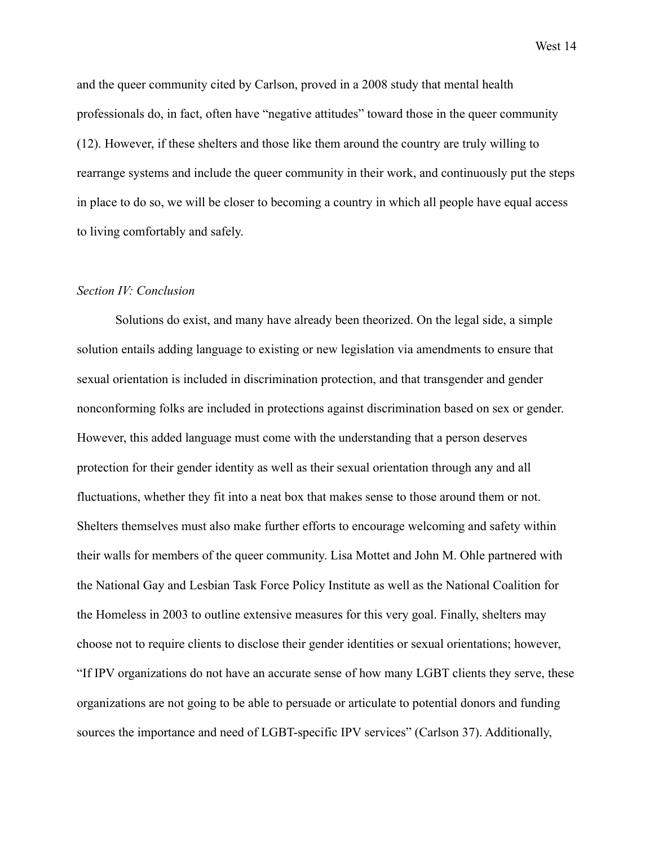and the queer community cited by Carlson, proved in a 2008 study that mental health professionals do, in fact, often have "negative attitudes" toward those in the queer community (12). However, if these shelters and those like them around the country are truly willing to rearrange systems and include the queer community in their work, and continuously put the steps in place to do so, we will be closer to becoming a country in which all people have equal access to living comfortably and safely.

# *Section IV: Conclusion*

Solutions do exist, and many have already been theorized. On the legal side, a simple solution entails adding language to existing or new legislation via amendments to ensure that sexual orientation is included in discrimination protection, and that transgender and gender nonconforming folks are included in protections against discrimination based on sex or gender. However, this added language must come with the understanding that a person deserves protection for their gender identity as well as their sexual orientation through any and all fluctuations, whether they fit into a neat box that makes sense to those around them or not. Shelters themselves must also make further efforts to encourage welcoming and safety within their walls for members of the queer community. Lisa Mottet and John M. Ohle partnered with the National Gay and Lesbian Task Force Policy Institute as well as the National Coalition for the Homeless in 2003 to outline extensive measures for this very goal. Finally, shelters may choose not to require clients to disclose their gender identities or sexual orientations; however, "If IPV organizations do not have an accurate sense of how many LGBT clients they serve, these organizations are not going to be able to persuade or articulate to potential donors and funding sources the importance and need of LGBT-specific IPV services" (Carlson 37). Additionally,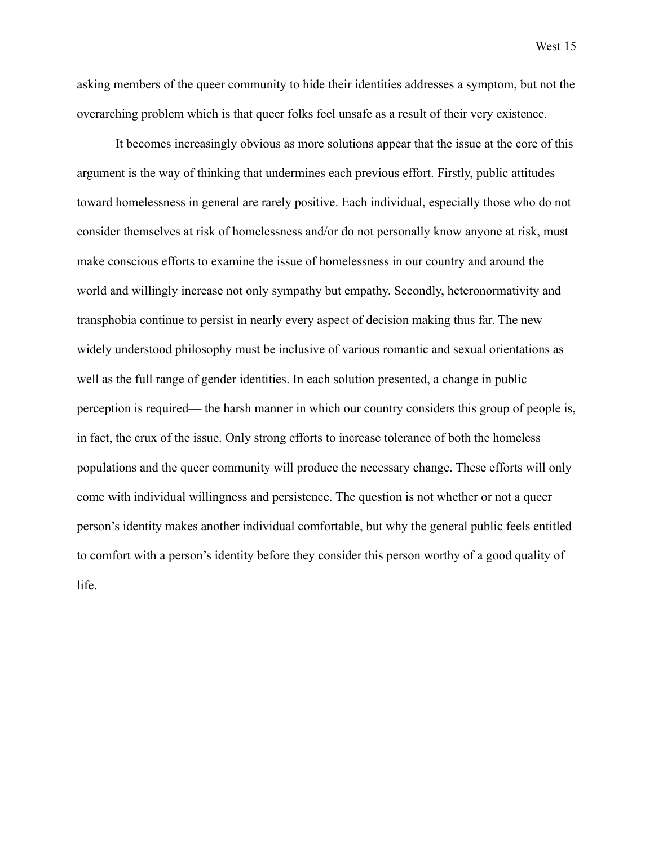asking members of the queer community to hide their identities addresses a symptom, but not the overarching problem which is that queer folks feel unsafe as a result of their very existence.

It becomes increasingly obvious as more solutions appear that the issue at the core of this argument is the way of thinking that undermines each previous effort. Firstly, public attitudes toward homelessness in general are rarely positive. Each individual, especially those who do not consider themselves at risk of homelessness and/or do not personally know anyone at risk, must make conscious efforts to examine the issue of homelessness in our country and around the world and willingly increase not only sympathy but empathy. Secondly, heteronormativity and transphobia continue to persist in nearly every aspect of decision making thus far. The new widely understood philosophy must be inclusive of various romantic and sexual orientations as well as the full range of gender identities. In each solution presented, a change in public perception is required— the harsh manner in which our country considers this group of people is, in fact, the crux of the issue. Only strong efforts to increase tolerance of both the homeless populations and the queer community will produce the necessary change. These efforts will only come with individual willingness and persistence. The question is not whether or not a queer person's identity makes another individual comfortable, but why the general public feels entitled to comfort with a person's identity before they consider this person worthy of a good quality of life.